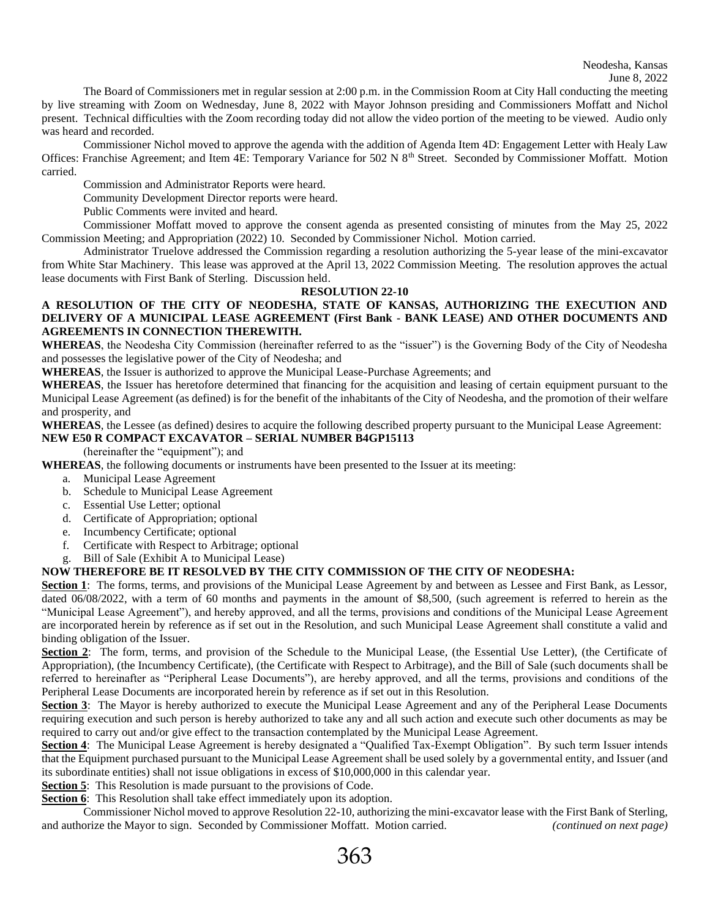The Board of Commissioners met in regular session at 2:00 p.m. in the Commission Room at City Hall conducting the meeting by live streaming with Zoom on Wednesday, June 8, 2022 with Mayor Johnson presiding and Commissioners Moffatt and Nichol present. Technical difficulties with the Zoom recording today did not allow the video portion of the meeting to be viewed. Audio only was heard and recorded.

Commissioner Nichol moved to approve the agenda with the addition of Agenda Item 4D: Engagement Letter with Healy Law Offices: Franchise Agreement; and Item 4E: Temporary Variance for 502 N 8<sup>th</sup> Street. Seconded by Commissioner Moffatt. Motion carried.

Commission and Administrator Reports were heard.

Community Development Director reports were heard.

Public Comments were invited and heard.

Commissioner Moffatt moved to approve the consent agenda as presented consisting of minutes from the May 25, 2022 Commission Meeting; and Appropriation (2022) 10. Seconded by Commissioner Nichol. Motion carried.

Administrator Truelove addressed the Commission regarding a resolution authorizing the 5-year lease of the mini-excavator from White Star Machinery. This lease was approved at the April 13, 2022 Commission Meeting. The resolution approves the actual lease documents with First Bank of Sterling. Discussion held.

## **RESOLUTION 22-10**

## **A RESOLUTION OF THE CITY OF NEODESHA, STATE OF KANSAS, AUTHORIZING THE EXECUTION AND DELIVERY OF A MUNICIPAL LEASE AGREEMENT (First Bank - BANK LEASE) AND OTHER DOCUMENTS AND AGREEMENTS IN CONNECTION THEREWITH.**

**WHEREAS**, the Neodesha City Commission (hereinafter referred to as the "issuer") is the Governing Body of the City of Neodesha and possesses the legislative power of the City of Neodesha; and

**WHEREAS**, the Issuer is authorized to approve the Municipal Lease-Purchase Agreements; and

**WHEREAS**, the Issuer has heretofore determined that financing for the acquisition and leasing of certain equipment pursuant to the Municipal Lease Agreement (as defined) is for the benefit of the inhabitants of the City of Neodesha, and the promotion of their welfare and prosperity, and

**WHEREAS**, the Lessee (as defined) desires to acquire the following described property pursuant to the Municipal Lease Agreement: **NEW E50 R COMPACT EXCAVATOR – SERIAL NUMBER B4GP15113**

(hereinafter the "equipment"); and

**WHEREAS**, the following documents or instruments have been presented to the Issuer at its meeting:

- a. Municipal Lease Agreement
- b. Schedule to Municipal Lease Agreement
- c. Essential Use Letter; optional
- d. Certificate of Appropriation; optional
- e. Incumbency Certificate; optional
- f. Certificate with Respect to Arbitrage; optional
- g. Bill of Sale (Exhibit A to Municipal Lease)

## **NOW THEREFORE BE IT RESOLVED BY THE CITY COMMISSION OF THE CITY OF NEODESHA:**

**Section 1**: The forms, terms, and provisions of the Municipal Lease Agreement by and between as Lessee and First Bank, as Lessor, dated 06/08/2022, with a term of 60 months and payments in the amount of \$8,500, (such agreement is referred to herein as the "Municipal Lease Agreement"), and hereby approved, and all the terms, provisions and conditions of the Municipal Lease Agreement are incorporated herein by reference as if set out in the Resolution, and such Municipal Lease Agreement shall constitute a valid and binding obligation of the Issuer.

**Section 2**: The form, terms, and provision of the Schedule to the Municipal Lease, (the Essential Use Letter), (the Certificate of Appropriation), (the Incumbency Certificate), (the Certificate with Respect to Arbitrage), and the Bill of Sale (such documents shall be referred to hereinafter as "Peripheral Lease Documents"), are hereby approved, and all the terms, provisions and conditions of the Peripheral Lease Documents are incorporated herein by reference as if set out in this Resolution.

**Section 3**: The Mayor is hereby authorized to execute the Municipal Lease Agreement and any of the Peripheral Lease Documents requiring execution and such person is hereby authorized to take any and all such action and execute such other documents as may be required to carry out and/or give effect to the transaction contemplated by the Municipal Lease Agreement.

**Section 4**: The Municipal Lease Agreement is hereby designated a "Qualified Tax-Exempt Obligation". By such term Issuer intends that the Equipment purchased pursuant to the Municipal Lease Agreement shall be used solely by a governmental entity, and Issuer (and its subordinate entities) shall not issue obligations in excess of \$10,000,000 in this calendar year.

**Section 5**: This Resolution is made pursuant to the provisions of Code.

**Section 6**: This Resolution shall take effect immediately upon its adoption.

Commissioner Nichol moved to approve Resolution 22-10, authorizing the mini-excavator lease with the First Bank of Sterling, and authorize the Mayor to sign. Seconded by Commissioner Moffatt. Motion carried. *(continued on next page)*